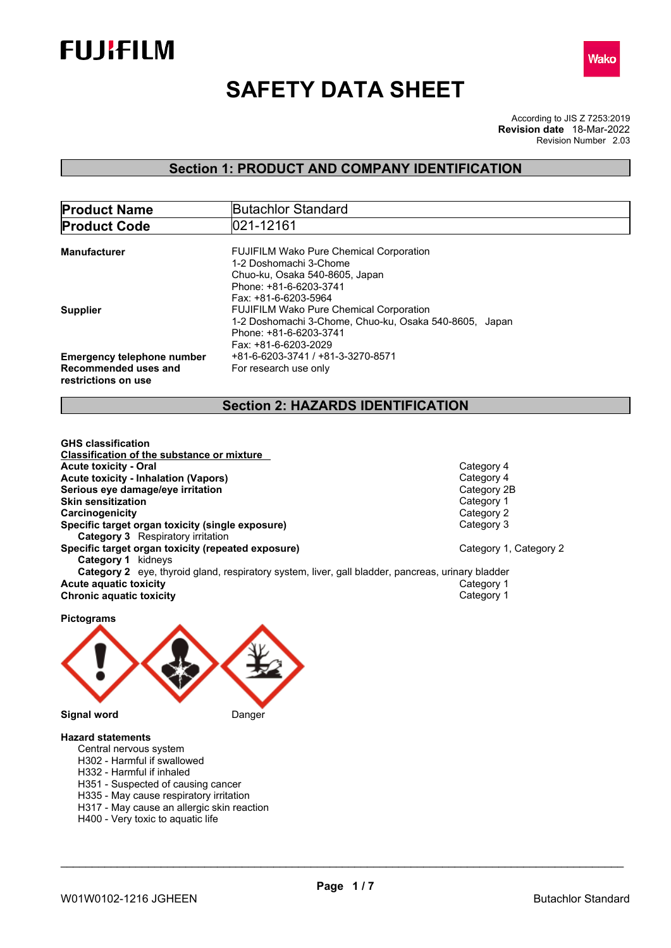



# **SAFETY DATA SHEET**

According to JIS Z 7253:2019 Revision Number 2.03 **Revision date** 18-Mar-2022

### **Section 1: PRODUCT AND COMPANY IDENTIFICATION**

| <b>Product Name</b>                                                              | <b>Butachlor Standard</b>                                                                                                                                    |
|----------------------------------------------------------------------------------|--------------------------------------------------------------------------------------------------------------------------------------------------------------|
| <b>Product Code</b>                                                              | 021-12161                                                                                                                                                    |
| <b>Manufacturer</b>                                                              | <b>FUJIFILM Wako Pure Chemical Corporation</b><br>1-2 Doshomachi 3-Chome<br>Chuo-ku, Osaka 540-8605, Japan<br>Phone: +81-6-6203-3741<br>Fax: +81-6-6203-5964 |
| <b>Supplier</b>                                                                  | <b>FUJIFILM Wako Pure Chemical Corporation</b><br>1-2 Doshomachi 3-Chome, Chuo-ku, Osaka 540-8605, Japan<br>Phone: +81-6-6203-3741<br>Fax: +81-6-6203-2029   |
| <b>Emergency telephone number</b><br>Recommended uses and<br>restrictions on use | +81-6-6203-3741 / +81-3-3270-8571<br>For research use only                                                                                                   |

### **Section 2: HAZARDS IDENTIFICATION**

**GHS classification Classification of the substance or mixture Acute toxicity - Oral Category 4**<br> **Acute toxicity - Inhalation (Vapors)**<br> **Acute toxicity - Inhalation (Vapors) Acute toxicity - Inhalation (Vapors)** Category 4 **Serious** eye damage/eye irritation **Skin sensitization**<br> **Category 1**<br> **Category 2**<br> **Category 2 Carcinogenicity**<br> **Category 2**<br> **Specific target organ toxicity (single exposure) Category 3 Category 3 Specific target organ toxicity (single exposure) Category 3** Respiratory irritation **Specific target organ toxicity (repeated exposure) Category 1, Category 2 Category 1** kidneys **Category 2** eye, thyroid gland, respiratory system, liver, gall bladder, pancreas, urinary bladder **Acute aquatic toxicity** Category 1<br> **Chronic aquatic toxicity** Chronic **aquatic toxicity** Category 1 **Chronic aquatic toxicity** 

**Pictograms Signal word** Danger

#### **Hazard statements**

- Central nervous system
- H302 Harmful if swallowed
- H332 Harmful if inhaled
- H351 Suspected of causing cancer
- H335 May cause respiratory irritation
- H317 May cause an allergic skin reaction
- H400 Very toxic to aquatic life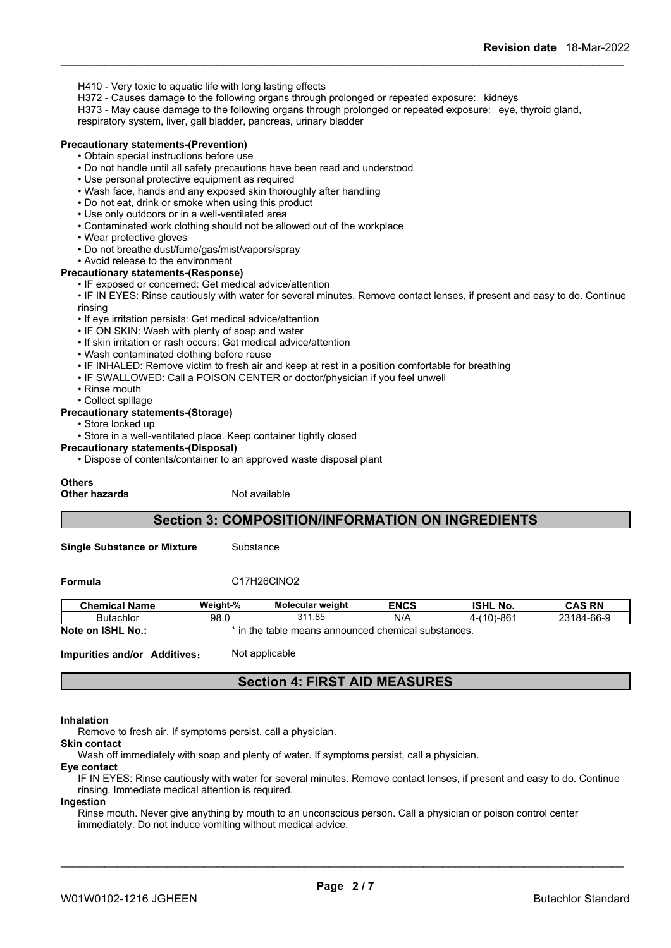- H410 Very toxic to aquatic life with long lasting effects
- H372 Causes damage to the following organs through prolonged or repeated exposure: kidneys
- H373 May cause damage to the following organs through prolonged or repeated exposure: eye, thyroid gland,

respiratory system, liver, gall bladder, pancreas, urinary bladder

#### **Precautionary statements-(Prevention)**

• Obtain special instructions before use

- Do not handle until all safety precautions have been read and understood
- Use personal protective equipment as required
- Wash face, hands and any exposed skin thoroughly after handling
- Do not eat, drink or smoke when using this product
- Use only outdoors or in a well-ventilated area
- Contaminated work clothing should not be allowed out of the workplace
- Wear protective gloves
- Do not breathe dust/fume/gas/mist/vapors/spray
- Avoid release to the environment

#### **Precautionary statements-(Response)**

• IF exposed or concerned: Get medical advice/attention

• IF IN EYES: Rinse cautiously with water for several minutes. Remove contact lenses, if present and easy to do. Continue rinsing

- If eye irritation persists: Get medical advice/attention
- IF ON SKIN: Wash with plenty of soap and water
- If skin irritation or rash occurs: Get medical advice/attention
- Wash contaminated clothing before reuse
- IF INHALED: Remove victim to fresh air and keep at rest in a position comfortable for breathing
- IF SWALLOWED: Call a POISON CENTER or doctor/physician if you feel unwell
- Rinse mouth
- Collect spillage

#### **Precautionary statements-(Storage)**

• Store locked up

• Store in a well-ventilated place. Keep container tightly closed

#### **Precautionary statements-(Disposal)**

• Dispose of contents/container to an approved waste disposal plant

#### **Others**

**Other hazards** Not available

### **Section 3: COMPOSITION/INFORMATION ON INGREDIENTS**

**Single Substance or Mixture** Substance

**Formula** C17H26ClNO2

| <b>Chemical Name</b>                      | Weight-% | <b>Molecular weight</b>       | <b>ENCS</b>            | <b>ISHL No.</b>    | <b>CAS RN</b> |
|-------------------------------------------|----------|-------------------------------|------------------------|--------------------|---------------|
| <b>Butachlor</b>                          | 98.0     | 311.85                        | N/A                    | 86′در<br>(40)<br>v | 23184-66-9    |
| <b>Note</b><br><b>ISHL</b><br>` No<br>.on | the      | announced :<br>means<br>table | l chemical substances. |                    |               |

**Impurities and/or Additives:** Not applicable

### **Section 4: FIRST AID MEASURES**

#### **Inhalation**

Remove to fresh air. If symptoms persist, call a physician.

**Skin contact** Wash off immediately with soap and plenty of water. If symptoms persist, call a physician.

**Eye contact**

IF IN EYES: Rinse cautiously with water for several minutes. Remove contact lenses, if present and easy to do. Continue rinsing. Immediate medical attention is required.

#### **Ingestion**

Rinse mouth. Never give anything by mouth to an unconscious person. Call a physician or poison control center immediately. Do not induce vomiting without medical advice.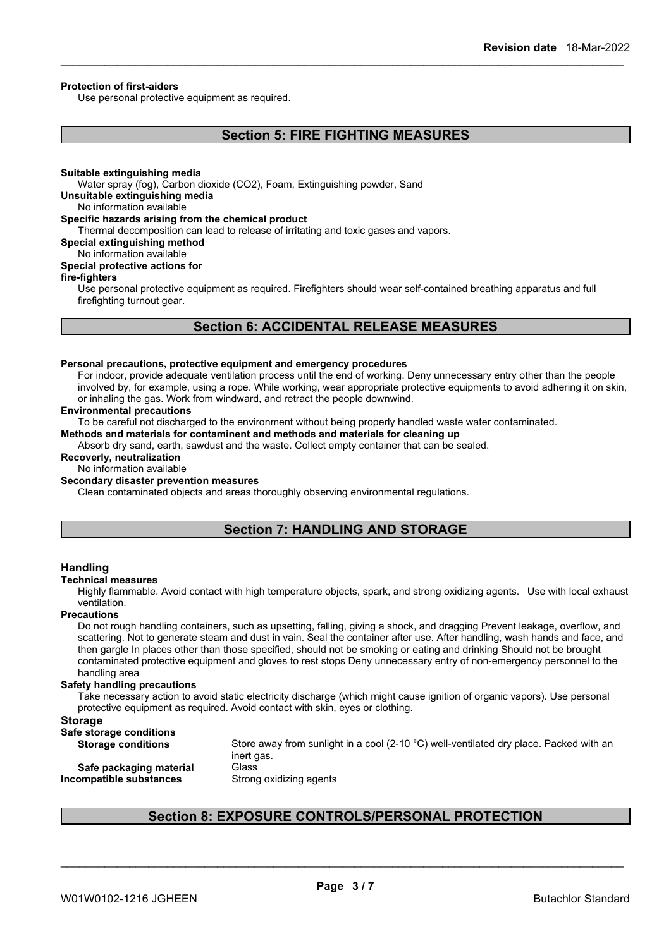#### **Protection of first-aiders**

Use personal protective equipment as required.

### **Section 5: FIRE FIGHTING MEASURES**

#### **Suitable extinguishing media**

Water spray (fog), Carbon dioxide (CO2), Foam, Extinguishing powder, Sand

**Unsuitable extinguishing media**

No information available

#### **Specific hazards arising from the chemical product**

Thermal decomposition can lead to release of irritating and toxic gases and vapors.

**Special extinguishing method**

No information available

### **Special protective actions for**

#### **fire-fighters**

Use personal protective equipment as required.Firefighters should wear self-contained breathing apparatus and full firefighting turnout gear.

### **Section 6: ACCIDENTAL RELEASE MEASURES**

### **Personal precautions, protective equipment and emergency procedures**

For indoor, provide adequate ventilation process until the end of working. Deny unnecessary entry other than the people involved by, for example, using a rope. While working, wear appropriate protective equipments to avoid adhering it on skin, or inhaling the gas. Work from windward, and retract the people downwind.

#### **Environmental precautions**

To be careful not discharged to the environment without being properly handled waste water contaminated.

### **Methods and materials for contaminent and methods and materials for cleaning up**

Absorb dry sand, earth, sawdust and the waste. Collect empty container that can be sealed.

#### **Recoverly, neutralization**

#### No information available

#### **Secondary disaster prevention measures**

Clean contaminated objects and areas thoroughly observing environmental regulations.

### **Section 7: HANDLING AND STORAGE**

#### **Handling**

#### **Technical measures**

Highly flammable. Avoid contact with high temperature objects, spark, and strong oxidizing agents. Use with local exhaust ventilation.

#### **Precautions**

Do not rough handling containers, such as upsetting, falling, giving a shock, and dragging Prevent leakage, overflow, and scattering. Not to generate steam and dust in vain. Seal the container after use. After handling, wash hands and face, and then gargle In places other than those specified, should not be smoking or eating and drinking Should not be brought contaminated protective equipment and gloves to rest stops Deny unnecessary entry of non-emergency personnel to the handling area

#### **Safety handling precautions**

Take necessary action to avoid static electricity discharge (which might cause ignition of organic vapors). Use personal protective equipment as required. Avoid contact with skin, eyes or clothing.

#### **Storage**

| Safe storage conditions   |                                                                                                  |
|---------------------------|--------------------------------------------------------------------------------------------------|
| <b>Storage conditions</b> | Store away from sunlight in a cool (2-10 $^{\circ}$ C) well-ventilated dry place. Packed with an |
|                           | inert gas.                                                                                       |
| Safe packaging material   | Glass                                                                                            |
| Incompatible substances   | Strong oxidizing agents                                                                          |
|                           |                                                                                                  |

### **Section 8: EXPOSURE CONTROLS/PERSONAL PROTECTION**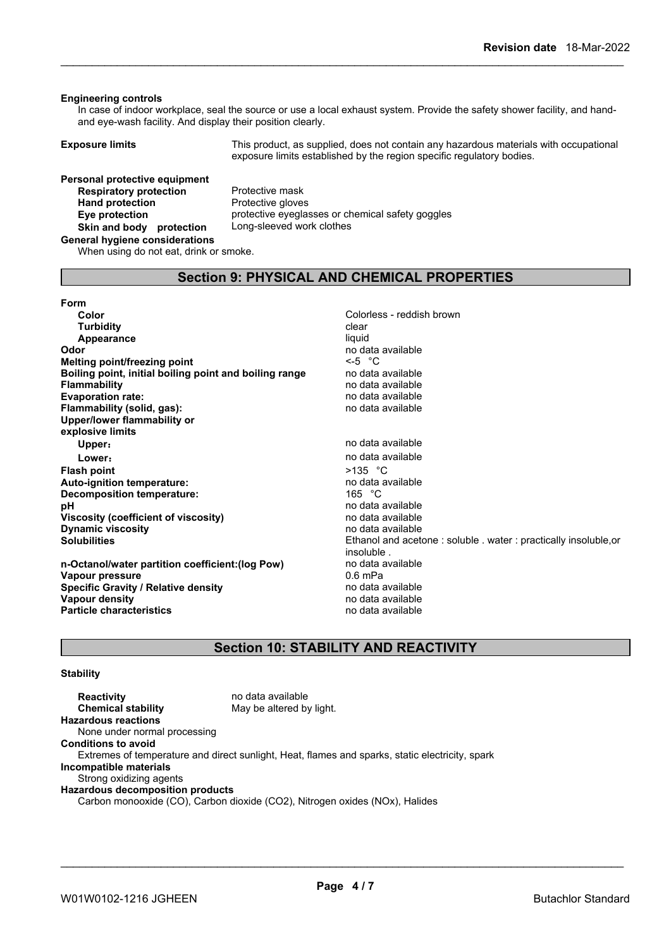#### **Engineering controls**

In case of indoor workplace, seal the source or use a local exhaust system. Provide the safety shower facility, and handand eye-wash facility. And display their position clearly.

**Exposure limits** This product, as supplied, does not contain any hazardous materials with occupational exposure limits established by the region specific regulatory bodies.

## **Personal protective equipment**<br>**Respiratory protection** Protective mask **Respiratory protection**<br> **Protection Protection Protective gloves Hand** protection **Skin and body protection** Long-sleeved work clothes

**Eye protection** protective eyeglasses or chemical safety goggles

### **General hygiene considerations**

When using do not eat, drink or smoke.

### **Section 9: PHYSICAL AND CHEMICAL PROPERTIES**

#### **Form**

| Color                                                  | Colorless - reddish brown               |
|--------------------------------------------------------|-----------------------------------------|
| <b>Turbidity</b>                                       | clear                                   |
| Appearance                                             | liquid                                  |
| Odor                                                   | no data available                       |
| <b>Melting point/freezing point</b>                    | $\leq -5$ °C                            |
| Boiling point, initial boiling point and boiling range | no data available                       |
| <b>Flammability</b>                                    | no data available                       |
| <b>Evaporation rate:</b>                               | no data available                       |
| Flammability (solid, gas):                             | no data available                       |
| Upper/lower flammability or                            |                                         |
| explosive limits                                       |                                         |
| Upper:                                                 | no data available                       |
| Lower:                                                 | no data available                       |
| <b>Flash point</b>                                     | $>135$ °C                               |
| Auto-ignition temperature:                             | no data available                       |
| Decomposition temperature:                             | 165 °C                                  |
| рH                                                     | no data available                       |
| Viscosity (coefficient of viscosity)                   | no data available                       |
| <b>Dynamic viscosity</b>                               | no data available                       |
| <b>Solubilities</b>                                    | Ethanol and acetone: soluble . water: p |
|                                                        | insoluble.                              |
| n-Octanol/water partition coefficient: (log Pow)       | no data available                       |
| Vapour pressure                                        | 0.6 mPa                                 |

**Specific Gravity / Relative density no data available Vapour density**<br> **Particle characteristics**<br> **Particle characteristics Particle characteristics** 

no data available<br><-5 °C **Boiling point, initial boiling point and boiling range** no data available **Flammability** no data available **Evaporation rate:** no data available **Flammability (solid, gas):** no data available **Upper:** no data available **Lower:** no data available **huto-iden**<br>165 °C **pH** no data available **Viscosity (coefficient of viscosity)** no data available **Dynamic viscosity** no data available Ethanol and acetone : soluble . water : practically insoluble,or insoluble . **no data available**<br>0.6 mPa

### **Section 10: STABILITY AND REACTIVITY**

### **Stability**

**Reactivity** no data available<br> **Chemical stability** May be altered by May be altered by light. **Hazardous reactions** None under normal processing **Conditions to avoid** Extremes of temperature and direct sunlight, Heat, flames and sparks, static electricity, spark **Incompatible materials** Strong oxidizing agents **Hazardous decomposition products** Carbon monooxide (CO), Carbon dioxide (CO2), Nitrogen oxides (NOx), Halides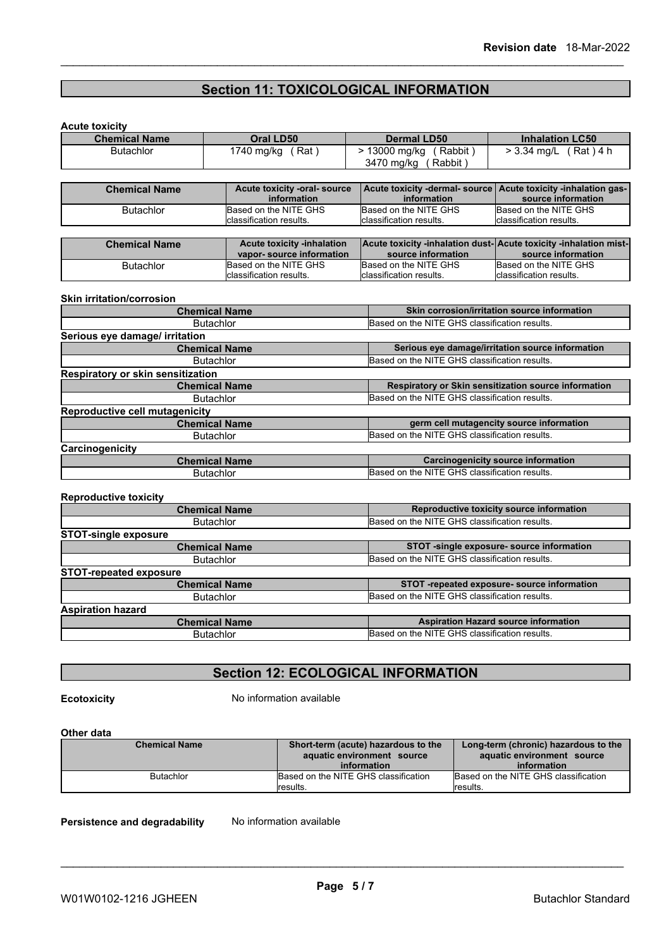# **Section 11: TOXICOLOGICAL INFORMATION**

| <b>Chemical Name</b>                  | Oral LD50                                          | <b>Dermal LD50</b>                                               | <b>Inhalation LC50</b>                                |  |  |
|---------------------------------------|----------------------------------------------------|------------------------------------------------------------------|-------------------------------------------------------|--|--|
| <b>Butachlor</b>                      | 1740 mg/kg (Rat)                                   | > 13000 mg/kg<br>(Rabbit)                                        | > 3.34 mg/L (Rat) 4 h                                 |  |  |
|                                       |                                                    | 3470 mg/kg (Rabbit)                                              |                                                       |  |  |
|                                       |                                                    |                                                                  |                                                       |  |  |
| <b>Chemical Name</b>                  | <b>Acute toxicity -oral- source</b><br>information | Acute toxicity -dermal- source<br>information                    | Acute toxicity -inhalation gas-<br>source information |  |  |
| <b>Butachlor</b>                      | Based on the NITE GHS                              | Based on the NITE GHS                                            | Based on the NITE GHS                                 |  |  |
|                                       | classification results.                            | classification results.                                          | classification results.                               |  |  |
| <b>Chemical Name</b>                  | <b>Acute toxicity -inhalation</b>                  | Acute toxicity -inhalation dust-Acute toxicity -inhalation mist- |                                                       |  |  |
|                                       | vapor-source information                           | source information                                               | source information                                    |  |  |
| <b>Butachlor</b>                      | Based on the NITE GHS                              | Based on the NITE GHS                                            | Based on the NITE GHS                                 |  |  |
|                                       | classification results.                            | classification results.                                          | lclassification results.                              |  |  |
| <b>Skin irritation/corrosion</b>      |                                                    |                                                                  | Skin corrosion/irritation source information          |  |  |
| <b>Chemical Name</b>                  |                                                    |                                                                  | Based on the NITE GHS classification results.         |  |  |
|                                       |                                                    |                                                                  |                                                       |  |  |
|                                       | <b>Butachlor</b>                                   |                                                                  |                                                       |  |  |
| Serious eye damage/ irritation        |                                                    |                                                                  |                                                       |  |  |
|                                       | <b>Chemical Name</b>                               |                                                                  | Serious eye damage/irritation source information      |  |  |
|                                       | <b>Butachlor</b>                                   | Based on the NITE GHS classification results.                    |                                                       |  |  |
| Respiratory or skin sensitization     | <b>Chemical Name</b>                               |                                                                  | Respiratory or Skin sensitization source information  |  |  |
|                                       | <b>Butachlor</b>                                   | Based on the NITE GHS classification results.                    |                                                       |  |  |
| <b>Reproductive cell mutagenicity</b> |                                                    |                                                                  |                                                       |  |  |
|                                       | <b>Chemical Name</b>                               |                                                                  | germ cell mutagencity source information              |  |  |
|                                       | <b>Butachlor</b>                                   | Based on the NITE GHS classification results.                    |                                                       |  |  |
| Carcinogenicity                       |                                                    |                                                                  |                                                       |  |  |
|                                       | <b>Chemical Name</b>                               | Based on the NITE GHS classification results.                    | <b>Carcinogenicity source information</b>             |  |  |

| <b>Chemical Name</b>                                              | Reproductive toxicity source information      |
|-------------------------------------------------------------------|-----------------------------------------------|
| <b>Butachlor</b>                                                  | Based on the NITE GHS classification results. |
| <b>STOT-single exposure</b>                                       |                                               |
| <b>Chemical Name</b>                                              | STOT -single exposure- source information     |
| <b>Butachlor</b>                                                  | Based on the NITE GHS classification results. |
| <b>STOT-repeated exposure</b>                                     |                                               |
| <b>Chemical Name</b>                                              | STOT -repeated exposure- source information   |
| <b>Butachlor</b>                                                  | Based on the NITE GHS classification results. |
| <b>Aspiration hazard</b>                                          |                                               |
| <b>Chemical Name</b>                                              | <b>Aspiration Hazard source information</b>   |
| Based on the NITE GHS classification results.<br><b>Butachlor</b> |                                               |
|                                                                   |                                               |

### **Section 12: ECOLOGICAL INFORMATION**

**Ecotoxicity** No information available

### **Other data**

| Chemical Name    | Short-term (acute) hazardous to the<br>aquatic environment source | Long-term (chronic) hazardous to the<br>aquatic environment source |
|------------------|-------------------------------------------------------------------|--------------------------------------------------------------------|
|                  | information                                                       | information                                                        |
| <b>Butachlor</b> | Based on the NITE GHS classification                              | Based on the NITE GHS classification                               |
|                  | lresults.                                                         | lresults.                                                          |

**Persistence and degradability** No information available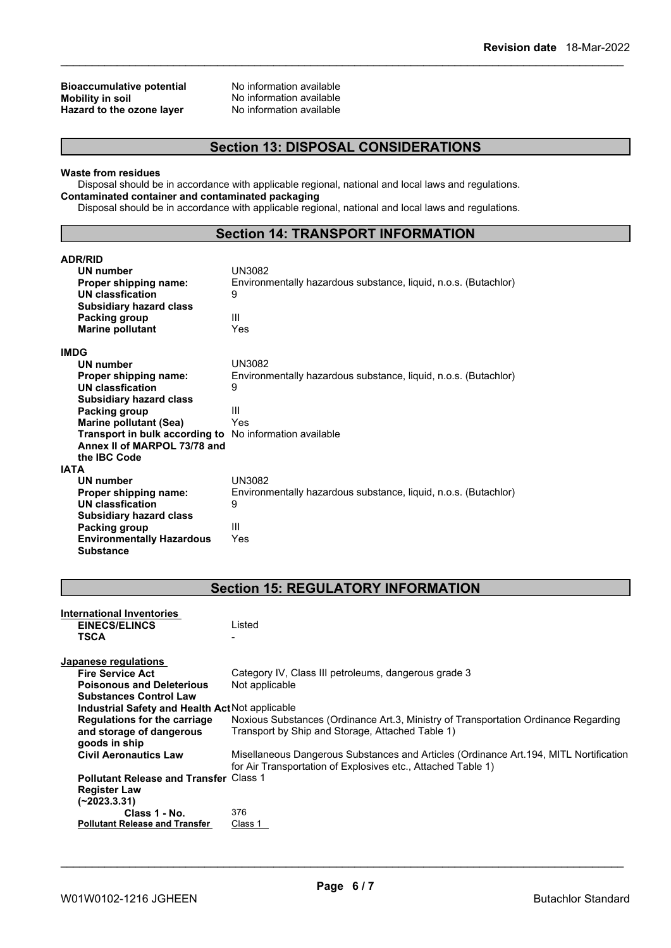## **Bioaccumulative potential** No information available<br> **Mobility in soil** No information available **Hazard** to the ozone layer

No information available<br>No information available

### **Section 13: DISPOSAL CONSIDERATIONS**

#### **Waste from residues**

Disposal should be in accordance with applicable regional, national and local laws and regulations. **Contaminated container and contaminated packaging**

Disposal should be in accordance with applicable regional, national and local laws and regulations.

### **Section 14: TRANSPORT INFORMATION**

| <b>ADR/RID</b>                   |                                                                 |
|----------------------------------|-----------------------------------------------------------------|
| <b>UN number</b>                 | UN3082                                                          |
| Proper shipping name:            | Environmentally hazardous substance, liquid, n.o.s. (Butachlor) |
| <b>UN classfication</b>          | 9                                                               |
| <b>Subsidiary hazard class</b>   |                                                                 |
| Packing group                    | Ш                                                               |
| <b>Marine pollutant</b>          | Yes                                                             |
| <b>IMDG</b>                      |                                                                 |
| <b>UN number</b>                 | UN3082                                                          |
| Proper shipping name:            | Environmentally hazardous substance, liquid, n.o.s. (Butachlor) |
| <b>UN classfication</b>          | 9                                                               |
| <b>Subsidiary hazard class</b>   |                                                                 |
| Packing group                    | Ш                                                               |
| Marine pollutant (Sea)           | Yes                                                             |
| Transport in bulk according to   | No information available                                        |
| Annex II of MARPOL 73/78 and     |                                                                 |
| the IBC Code                     |                                                                 |
| IATA                             |                                                                 |
| UN number                        | UN3082                                                          |
| Proper shipping name:            | Environmentally hazardous substance, liquid, n.o.s. (Butachlor) |
| <b>UN classfication</b>          | 9                                                               |
| <b>Subsidiary hazard class</b>   |                                                                 |
| Packing group                    | Ш                                                               |
| <b>Environmentally Hazardous</b> | Yes                                                             |
| <b>Substance</b>                 |                                                                 |

## **Section 15: REGULATORY INFORMATION**

| International Inventories                       |                                                                                        |
|-------------------------------------------------|----------------------------------------------------------------------------------------|
| <b>EINECS/ELINCS</b>                            | Listed                                                                                 |
| <b>TSCA</b>                                     |                                                                                        |
|                                                 |                                                                                        |
| Japanese regulations                            |                                                                                        |
| <b>Fire Service Act</b>                         | Category IV, Class III petroleums, dangerous grade 3                                   |
| <b>Poisonous and Deleterious</b>                | Not applicable                                                                         |
| <b>Substances Control Law</b>                   |                                                                                        |
| Industrial Safety and Health Act Not applicable |                                                                                        |
| <b>Regulations for the carriage</b>             | Noxious Substances (Ordinance Art.3, Ministry of Transportation Ordinance Regarding    |
| and storage of dangerous                        | Transport by Ship and Storage, Attached Table 1)                                       |
| goods in ship                                   |                                                                                        |
| <b>Civil Aeronautics Law</b>                    | Misellaneous Dangerous Substances and Articles (Ordinance Art. 194, MITL Nortification |
|                                                 | for Air Transportation of Explosives etc., Attached Table 1)                           |
| <b>Pollutant Release and Transfer Class 1</b>   |                                                                                        |
| <b>Register Law</b>                             |                                                                                        |
| (~2023.3.31)                                    |                                                                                        |
| Class 1 - No.                                   | 376                                                                                    |
| <b>Pollutant Release and Transfer</b>           | Class 1                                                                                |
|                                                 |                                                                                        |